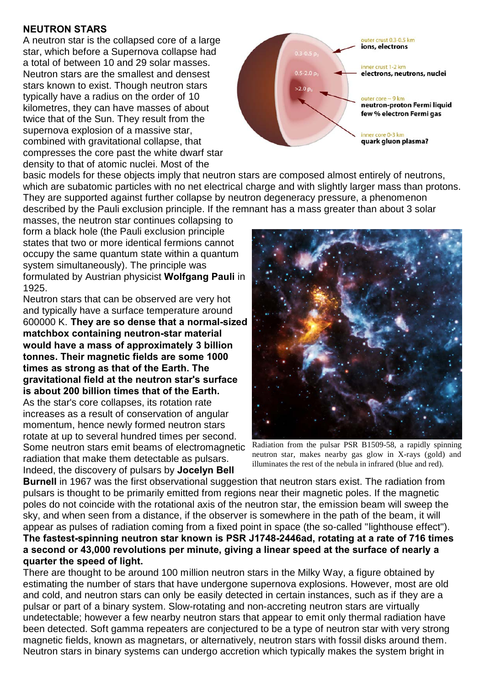## **NEUTRON STARS**

A neutron star is the collapsed core of a large star, which before a Supernova collapse had a total of between 10 and 29 solar masses. Neutron stars are the smallest and densest stars known to exist. Though neutron stars typically have a radius on the order of 10 kilometres, they can have masses of about twice that of the Sun. They result from the supernova explosion of a massive star, combined with gravitational collapse, that compresses the core past the white dwarf star density to that of atomic nuclei. Most of the



basic models for these objects imply that neutron stars are composed almost entirely of neutrons, which are subatomic particles with no net electrical charge and with slightly larger mass than protons. They are supported against further collapse by neutron degeneracy pressure, a phenomenon described by the Pauli exclusion principle. If the remnant has a mass greater than about 3 solar

masses, the neutron star continues collapsing to form a black hole (the Pauli exclusion principle states that two or more identical fermions cannot occupy the same quantum state within a quantum system simultaneously). The principle was formulated by Austrian physicist **Wolfgang Pauli** in 1925.

Neutron stars that can be observed are very hot and typically have a surface temperature around 600000 K. **They are so dense that a normal-sized matchbox containing neutron-star material would have a mass of approximately 3 billion tonnes. Their magnetic fields are some 1000 times as strong as that of the Earth. The gravitational field at the neutron star's surface is about 200 billion times that of the Earth.** As the star's core collapses, its rotation rate increases as a result of conservation of angular momentum, hence newly formed neutron stars rotate at up to several hundred times per second. Some neutron stars emit beams of electromagnetic radiation that make them detectable as pulsars. Indeed, the discovery of pulsars by **Jocelyn Bell**



Radiation from the pulsar PSR B1509-58, a rapidly spinning neutron star, makes nearby gas glow in X-rays (gold) and illuminates the rest of the nebula in infrared (blue and red).

**Burnell** in 1967 was the first observational suggestion that neutron stars exist. The radiation from pulsars is thought to be primarily emitted from regions near their magnetic poles. If the magnetic poles do not coincide with the rotational axis of the neutron star, the emission beam will sweep the sky, and when seen from a distance, if the observer is somewhere in the path of the beam, it will appear as pulses of radiation coming from a fixed point in space (the so-called "lighthouse effect"). **The fastest-spinning neutron star known is PSR J1748-2446ad, rotating at a rate of 716 times a second or 43,000 revolutions per minute, giving a linear speed at the surface of nearly a quarter the speed of light.**

There are thought to be around 100 million neutron stars in the Milky Way, a figure obtained by estimating the number of stars that have undergone supernova explosions. However, most are old and cold, and neutron stars can only be easily detected in certain instances, such as if they are a pulsar or part of a binary system. Slow-rotating and non-accreting neutron stars are virtually undetectable; however a few nearby neutron stars that appear to emit only thermal radiation have been detected. Soft gamma repeaters are conjectured to be a type of neutron star with very strong magnetic fields, known as magnetars, or alternatively, neutron stars with fossil disks around them. Neutron stars in binary systems can undergo accretion which typically makes the system bright in